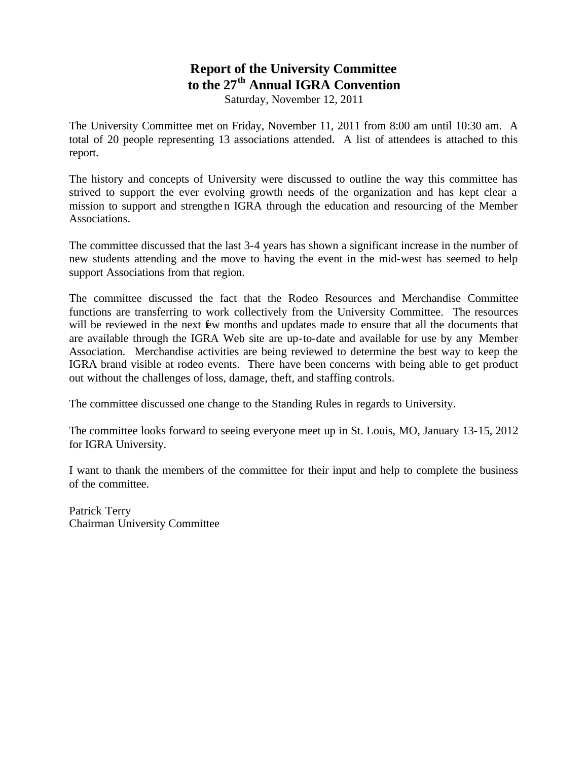## **Report of the University Committee to the 27th Annual IGRA Convention**

Saturday, November 12, 2011

The University Committee met on Friday, November 11, 2011 from 8:00 am until 10:30 am. A total of 20 people representing 13 associations attended. A list of attendees is attached to this report.

The history and concepts of University were discussed to outline the way this committee has strived to support the ever evolving growth needs of the organization and has kept clear a mission to support and strengthen IGRA through the education and resourcing of the Member Associations.

The committee discussed that the last 3-4 years has shown a significant increase in the number of new students attending and the move to having the event in the mid-west has seemed to help support Associations from that region.

The committee discussed the fact that the Rodeo Resources and Merchandise Committee functions are transferring to work collectively from the University Committee. The resources will be reviewed in the next  $\mathbf{\hat{E}}$ w months and updates made to ensure that all the documents that are available through the IGRA Web site are up-to-date and available for use by any Member Association. Merchandise activities are being reviewed to determine the best way to keep the IGRA brand visible at rodeo events. There have been concerns with being able to get product out without the challenges of loss, damage, theft, and staffing controls.

The committee discussed one change to the Standing Rules in regards to University.

The committee looks forward to seeing everyone meet up in St. Louis, MO, January 13-15, 2012 for IGRA University.

I want to thank the members of the committee for their input and help to complete the business of the committee.

Patrick Terry Chairman University Committee